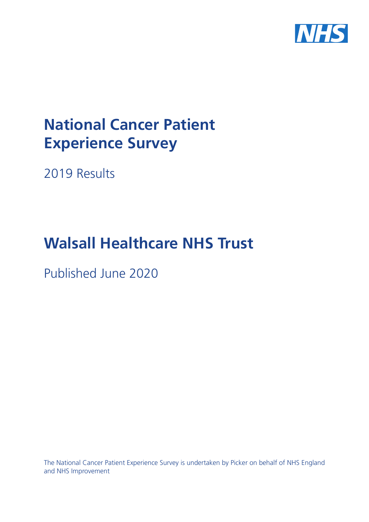

# **National Cancer Patient Experience Survey**

2019 Results

# **Walsall Healthcare NHS Trust**

Published June 2020

The National Cancer Patient Experience Survey is undertaken by Picker on behalf of NHS England and NHS Improvement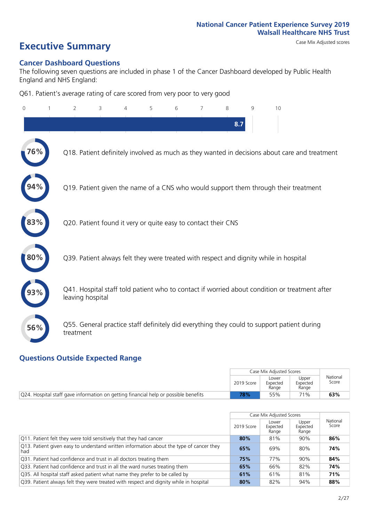# **Executive Summary** Case Mix Adjusted scores

#### **Cancer Dashboard Questions**

The following seven questions are included in phase 1 of the Cancer Dashboard developed by Public Health England and NHS England:

Q61. Patient's average rating of care scored from very poor to very good

| $\Omega$ | $\overline{2}$                                                | 3 | 4 | 5 | 6 | $\overline{7}$ | 8   | 9 | 10                                                                                            |  |
|----------|---------------------------------------------------------------|---|---|---|---|----------------|-----|---|-----------------------------------------------------------------------------------------------|--|
|          |                                                               |   |   |   |   |                | 8.7 |   |                                                                                               |  |
| 76%      |                                                               |   |   |   |   |                |     |   | Q18. Patient definitely involved as much as they wanted in decisions about care and treatment |  |
|          |                                                               |   |   |   |   |                |     |   | Q19. Patient given the name of a CNS who would support them through their treatment           |  |
| 83%      | Q20. Patient found it very or quite easy to contact their CNS |   |   |   |   |                |     |   |                                                                                               |  |
| 80%      |                                                               |   |   |   |   |                |     |   | Q39. Patient always felt they were treated with respect and dignity while in hospital         |  |
|          | leaving hospital                                              |   |   |   |   |                |     |   | Q41. Hospital staff told patient who to contact if worried about condition or treatment after |  |
| 56%      | treatment                                                     |   |   |   |   |                |     |   | Q55. General practice staff definitely did everything they could to support patient during    |  |

### **Questions Outside Expected Range**

|                                                                                               |            | Case Mix Adjusted Scores   |                            |                   |
|-----------------------------------------------------------------------------------------------|------------|----------------------------|----------------------------|-------------------|
|                                                                                               | 2019 Score | Lower<br>Expected<br>Range | Upper<br>Expected<br>Range | National<br>Score |
| $\sqrt{Q}$ 24. Hospital staff gave information on getting financial help or possible benefits | 78%        | 55%                        | 71%                        | 63%               |

|                                                                                                |            | Case Mix Adjusted Scores   |                            |                   |
|------------------------------------------------------------------------------------------------|------------|----------------------------|----------------------------|-------------------|
|                                                                                                | 2019 Score | Lower<br>Expected<br>Range | Upper<br>Expected<br>Range | National<br>Score |
| Q11. Patient felt they were told sensitively that they had cancer                              | 80%        | 81%                        | 90%                        | 86%               |
| Q13. Patient given easy to understand written information about the type of cancer they<br>had | 65%        | 69%                        | 80%                        | 74%               |
| Q31. Patient had confidence and trust in all doctors treating them                             | 75%        | 77%                        | 90%                        | 84%               |
| Q33. Patient had confidence and trust in all the ward nurses treating them                     | 65%        | 66%                        | 82%                        | 74%               |
| Q35. All hospital staff asked patient what name they prefer to be called by                    | 61%        | 61%                        | 81%                        | 71%               |
| Q39. Patient always felt they were treated with respect and dignity while in hospital          | 80%        | 82%                        | 94%                        | 88%               |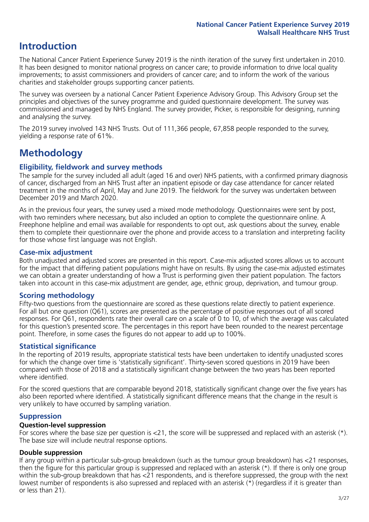# **Introduction**

The National Cancer Patient Experience Survey 2019 is the ninth iteration of the survey first undertaken in 2010. It has been designed to monitor national progress on cancer care; to provide information to drive local quality improvements; to assist commissioners and providers of cancer care; and to inform the work of the various charities and stakeholder groups supporting cancer patients.

The survey was overseen by a national Cancer Patient Experience Advisory Group. This Advisory Group set the principles and objectives of the survey programme and guided questionnaire development. The survey was commissioned and managed by NHS England. The survey provider, Picker, is responsible for designing, running and analysing the survey.

The 2019 survey involved 143 NHS Trusts. Out of 111,366 people, 67,858 people responded to the survey, yielding a response rate of 61%.

# **Methodology**

### **Eligibility, fieldwork and survey methods**

The sample for the survey included all adult (aged 16 and over) NHS patients, with a confirmed primary diagnosis of cancer, discharged from an NHS Trust after an inpatient episode or day case attendance for cancer related treatment in the months of April, May and June 2019. The fieldwork for the survey was undertaken between December 2019 and March 2020.

As in the previous four years, the survey used a mixed mode methodology. Questionnaires were sent by post, with two reminders where necessary, but also included an option to complete the questionnaire online. A Freephone helpline and email was available for respondents to opt out, ask questions about the survey, enable them to complete their questionnaire over the phone and provide access to a translation and interpreting facility for those whose first language was not English.

### **Case-mix adjustment**

Both unadjusted and adjusted scores are presented in this report. Case-mix adjusted scores allows us to account for the impact that differing patient populations might have on results. By using the case-mix adjusted estimates we can obtain a greater understanding of how a Trust is performing given their patient population. The factors taken into account in this case-mix adjustment are gender, age, ethnic group, deprivation, and tumour group.

### **Scoring methodology**

Fifty-two questions from the questionnaire are scored as these questions relate directly to patient experience. For all but one question (Q61), scores are presented as the percentage of positive responses out of all scored responses. For Q61, respondents rate their overall care on a scale of 0 to 10, of which the average was calculated for this question's presented score. The percentages in this report have been rounded to the nearest percentage point. Therefore, in some cases the figures do not appear to add up to 100%.

### **Statistical significance**

In the reporting of 2019 results, appropriate statistical tests have been undertaken to identify unadjusted scores for which the change over time is 'statistically significant'. Thirty-seven scored questions in 2019 have been compared with those of 2018 and a statistically significant change between the two years has been reported where identified.

For the scored questions that are comparable beyond 2018, statistically significant change over the five years has also been reported where identified. A statistically significant difference means that the change in the result is very unlikely to have occurred by sampling variation.

### **Suppression**

#### **Question-level suppression**

For scores where the base size per question is  $<$ 21, the score will be suppressed and replaced with an asterisk (\*). The base size will include neutral response options.

### **Double suppression**

If any group within a particular sub-group breakdown (such as the tumour group breakdown) has <21 responses, then the figure for this particular group is suppressed and replaced with an asterisk (\*). If there is only one group within the sub-group breakdown that has <21 respondents, and is therefore suppressed, the group with the next lowest number of respondents is also supressed and replaced with an asterisk (\*) (regardless if it is greater than or less than 21).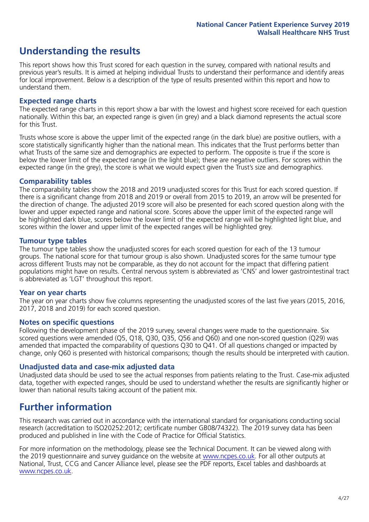# **Understanding the results**

This report shows how this Trust scored for each question in the survey, compared with national results and previous year's results. It is aimed at helping individual Trusts to understand their performance and identify areas for local improvement. Below is a description of the type of results presented within this report and how to understand them.

### **Expected range charts**

The expected range charts in this report show a bar with the lowest and highest score received for each question nationally. Within this bar, an expected range is given (in grey) and a black diamond represents the actual score for this Trust.

Trusts whose score is above the upper limit of the expected range (in the dark blue) are positive outliers, with a score statistically significantly higher than the national mean. This indicates that the Trust performs better than what Trusts of the same size and demographics are expected to perform. The opposite is true if the score is below the lower limit of the expected range (in the light blue); these are negative outliers. For scores within the expected range (in the grey), the score is what we would expect given the Trust's size and demographics.

#### **Comparability tables**

The comparability tables show the 2018 and 2019 unadjusted scores for this Trust for each scored question. If there is a significant change from 2018 and 2019 or overall from 2015 to 2019, an arrow will be presented for the direction of change. The adjusted 2019 score will also be presented for each scored question along with the lower and upper expected range and national score. Scores above the upper limit of the expected range will be highlighted dark blue, scores below the lower limit of the expected range will be highlighted light blue, and scores within the lower and upper limit of the expected ranges will be highlighted grey.

### **Tumour type tables**

The tumour type tables show the unadjusted scores for each scored question for each of the 13 tumour groups. The national score for that tumour group is also shown. Unadjusted scores for the same tumour type across different Trusts may not be comparable, as they do not account for the impact that differing patient populations might have on results. Central nervous system is abbreviated as 'CNS' and lower gastrointestinal tract is abbreviated as 'LGT' throughout this report.

### **Year on year charts**

The year on year charts show five columns representing the unadjusted scores of the last five years (2015, 2016, 2017, 2018 and 2019) for each scored question.

#### **Notes on specific questions**

Following the development phase of the 2019 survey, several changes were made to the questionnaire. Six scored questions were amended (Q5, Q18, Q30, Q35, Q56 and Q60) and one non-scored question (Q29) was amended that impacted the comparability of questions Q30 to Q41. Of all questions changed or impacted by change, only Q60 is presented with historical comparisons; though the results should be interpreted with caution.

### **Unadjusted data and case-mix adjusted data**

Unadjusted data should be used to see the actual responses from patients relating to the Trust. Case-mix adjusted data, together with expected ranges, should be used to understand whether the results are significantly higher or lower than national results taking account of the patient mix.

### **Further information**

This research was carried out in accordance with the international standard for organisations conducting social research (accreditation to ISO20252:2012; certificate number GB08/74322). The 2019 survey data has been produced and published in line with the Code of Practice for Official Statistics.

For more information on the methodology, please see the Technical Document. It can be viewed along with the 2019 questionnaire and survey quidance on the website at [www.ncpes.co.uk](https://www.ncpes.co.uk/supporting-documents). For all other outputs at National, Trust, CCG and Cancer Alliance level, please see the PDF reports, Excel tables and dashboards at [www.ncpes.co.uk.](https://www.ncpes.co.uk/current-results)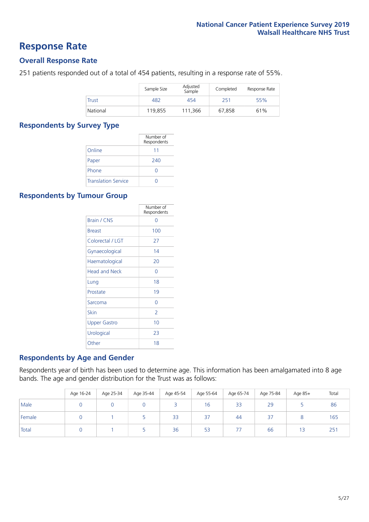### **Response Rate**

### **Overall Response Rate**

251 patients responded out of a total of 454 patients, resulting in a response rate of 55%.

|          | Sample Size | Adjusted<br>Sample | Completed | Response Rate |
|----------|-------------|--------------------|-----------|---------------|
| Trust    | 482         | 454                | 251       | 55%           |
| National | 119,855     | 111,366            | 67,858    | 61%           |

### **Respondents by Survey Type**

|                            | Number of<br>Respondents |
|----------------------------|--------------------------|
| Online                     | 11                       |
| Paper                      | 240                      |
| Phone                      | O                        |
| <b>Translation Service</b> |                          |

### **Respondents by Tumour Group**

|                      | Number of<br>Respondents |
|----------------------|--------------------------|
| <b>Brain / CNS</b>   | ∩                        |
| <b>Breast</b>        | 100                      |
| Colorectal / LGT     | 27                       |
| Gynaecological       | 14                       |
| Haematological       | 20                       |
| <b>Head and Neck</b> | U                        |
| Lung                 | 18                       |
| Prostate             | 19                       |
| Sarcoma              | Ω                        |
| Skin                 | $\overline{2}$           |
| <b>Upper Gastro</b>  | 10                       |
| Urological           | 23                       |
| Other                | 18                       |

### **Respondents by Age and Gender**

Respondents year of birth has been used to determine age. This information has been amalgamated into 8 age bands. The age and gender distribution for the Trust was as follows:

|        | Age 16-24 | Age 25-34 | Age 35-44 | Age 45-54 | Age 55-64 | Age 65-74 | Age 75-84         | Age 85+ | Total |
|--------|-----------|-----------|-----------|-----------|-----------|-----------|-------------------|---------|-------|
| Male   |           |           |           |           | 16        | 33        | 29                |         | 86    |
| Female |           |           |           | 33        | 37        | 44        | $\sim$ $-$<br>ر ڪ |         | 165   |
| Total  |           |           |           | 36        | 53        | 77        | 66                | 13      | 251   |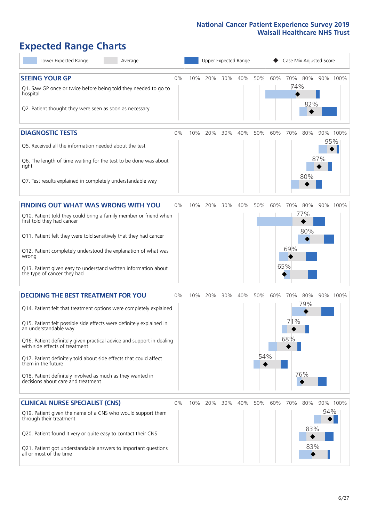# **Expected Range Charts**

| Lower Expected Range<br>Average                                                                                                                                                                                                                                                                                                                                                                                                                                                                                             |    |     | Upper Expected Range |     |     |            | Case Mix Adjusted Score |                          |                   |            |          |
|-----------------------------------------------------------------------------------------------------------------------------------------------------------------------------------------------------------------------------------------------------------------------------------------------------------------------------------------------------------------------------------------------------------------------------------------------------------------------------------------------------------------------------|----|-----|----------------------|-----|-----|------------|-------------------------|--------------------------|-------------------|------------|----------|
| <b>SEEING YOUR GP</b><br>Q1. Saw GP once or twice before being told they needed to go to<br>hospital<br>Q2. Patient thought they were seen as soon as necessary                                                                                                                                                                                                                                                                                                                                                             | 0% | 10% | 20%                  | 30% | 40% | 50%        | 60%                     | 70%<br>74%               | 80%<br>82%        |            | 90% 100% |
| <b>DIAGNOSTIC TESTS</b><br>Q5. Received all the information needed about the test<br>Q6. The length of time waiting for the test to be done was about<br>right<br>Q7. Test results explained in completely understandable way                                                                                                                                                                                                                                                                                               | 0% | 10% | 20%                  | 30% | 40% | 50%        | 60%                     | 70%                      | 80%<br>80%        | 95%<br>87% | 90% 100% |
| <b>FINDING OUT WHAT WAS WRONG WITH YOU</b><br>Q10. Patient told they could bring a family member or friend when<br>first told they had cancer<br>Q11. Patient felt they were told sensitively that they had cancer<br>Q12. Patient completely understood the explanation of what was<br>wrong<br>Q13. Patient given easy to understand written information about<br>the type of cancer they had                                                                                                                             | 0% | 10% | 20%                  | 30% | 40% | 50%        | 60%                     | 70%<br>77%<br>69%<br>65% | 80%<br>80%        |            | 90% 100% |
| <b>DECIDING THE BEST TREATMENT FOR YOU</b><br>Q14. Patient felt that treatment options were completely explained<br>Q15. Patient felt possible side effects were definitely explained in<br>an understandable way<br>Q16. Patient definitely given practical advice and support in dealing<br>with side effects of treatment<br>Q17. Patient definitely told about side effects that could affect<br>them in the future<br>Q18. Patient definitely involved as much as they wanted in<br>decisions about care and treatment | 0% | 10% | 20%                  | 30% | 40% | 50%<br>54% | 60%                     | 70%<br>71%<br>68%<br>76% | 80%<br>79%        |            | 90% 100% |
| <b>CLINICAL NURSE SPECIALIST (CNS)</b><br>Q19. Patient given the name of a CNS who would support them<br>through their treatment<br>Q20. Patient found it very or quite easy to contact their CNS<br>Q21. Patient got understandable answers to important questions<br>all or most of the time                                                                                                                                                                                                                              | 0% | 10% | 20%                  | 30% | 40% | 50%        | 60%                     | 70%                      | 80%<br>83%<br>83% | 94%        | 90% 100% |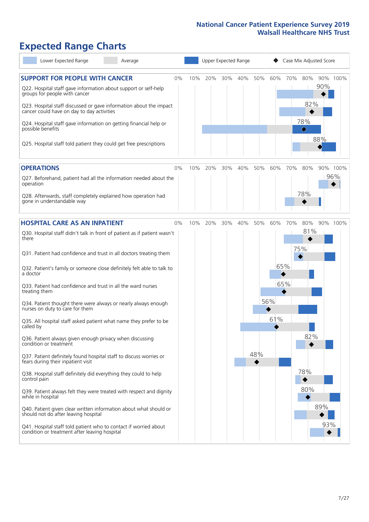# **Expected Range Charts**

| Lower Expected Range<br>Average                                                                                                                                                                                                                                                                                                                                                                                               |    |     |     |     | Upper Expected Range |     |     | Case Mix Adjusted Score |                                                   |            |                 |
|-------------------------------------------------------------------------------------------------------------------------------------------------------------------------------------------------------------------------------------------------------------------------------------------------------------------------------------------------------------------------------------------------------------------------------|----|-----|-----|-----|----------------------|-----|-----|-------------------------|---------------------------------------------------|------------|-----------------|
| <b>SUPPORT FOR PEOPLE WITH CANCER</b><br>Q22. Hospital staff gave information about support or self-help<br>groups for people with cancer<br>Q23. Hospital staff discussed or gave information about the impact<br>cancer could have on day to day activities<br>Q24. Hospital staff gave information on getting financial help or<br>possible benefits<br>Q25. Hospital staff told patient they could get free prescriptions | 0% | 10% | 20% | 30% | 40%                  | 50% | 60% | 70%                     | 80%<br>82%<br>78%<br>$\color{black}\blacklozenge$ | 90%<br>88% | 90% 100%        |
| <b>OPERATIONS</b>                                                                                                                                                                                                                                                                                                                                                                                                             | 0% | 10% | 20% | 30% | 40%                  | 50% | 60% | 70%                     | 80%                                               |            | 90% 100%<br>96% |
| Q27. Beforehand, patient had all the information needed about the<br>operation                                                                                                                                                                                                                                                                                                                                                |    |     |     |     |                      |     |     |                         |                                                   |            |                 |
| Q28. Afterwards, staff completely explained how operation had<br>gone in understandable way                                                                                                                                                                                                                                                                                                                                   |    |     |     |     |                      |     |     |                         | 78%                                               |            |                 |
| <b>HOSPITAL CARE AS AN INPATIENT</b>                                                                                                                                                                                                                                                                                                                                                                                          | 0% | 10% | 20% | 30% | 40%                  | 50% | 60% | 70%                     | 80%                                               |            | 90% 100%        |
| Q30. Hospital staff didn't talk in front of patient as if patient wasn't<br>there                                                                                                                                                                                                                                                                                                                                             |    |     |     |     |                      |     |     |                         | 81%                                               |            |                 |
| Q31. Patient had confidence and trust in all doctors treating them                                                                                                                                                                                                                                                                                                                                                            |    |     |     |     |                      |     |     |                         | 75%                                               |            |                 |
| Q32. Patient's family or someone close definitely felt able to talk to<br>a doctor                                                                                                                                                                                                                                                                                                                                            |    |     |     |     |                      |     |     | 65%                     |                                                   |            |                 |
| Q33. Patient had confidence and trust in all the ward nurses<br>treating them                                                                                                                                                                                                                                                                                                                                                 |    |     |     |     |                      |     |     | 65%                     |                                                   |            |                 |
| Q34. Patient thought there were always or nearly always enough<br>nurses on duty to care for them                                                                                                                                                                                                                                                                                                                             |    |     |     |     |                      |     | 56% |                         |                                                   |            |                 |
| Q35. All hospital staff asked patient what name they prefer to be<br>called by                                                                                                                                                                                                                                                                                                                                                |    |     |     |     |                      |     | 61% |                         |                                                   |            |                 |
| Q36. Patient always given enough privacy when discussing<br>condition or treatment                                                                                                                                                                                                                                                                                                                                            |    |     |     |     |                      |     |     |                         | 82%                                               |            |                 |
| Q37. Patient definitely found hospital staff to discuss worries or<br>fears during their inpatient visit                                                                                                                                                                                                                                                                                                                      |    |     |     |     |                      | 48% |     |                         |                                                   |            |                 |
| Q38. Hospital staff definitely did everything they could to help<br>control pain                                                                                                                                                                                                                                                                                                                                              |    |     |     |     |                      |     |     |                         | 78%                                               |            |                 |
| Q39. Patient always felt they were treated with respect and dignity<br>while in hospital                                                                                                                                                                                                                                                                                                                                      |    |     |     |     |                      |     |     |                         | 80%                                               |            |                 |
| Q40. Patient given clear written information about what should or<br>should not do after leaving hospital                                                                                                                                                                                                                                                                                                                     |    |     |     |     |                      |     |     |                         |                                                   | 89%        |                 |
| Q41. Hospital staff told patient who to contact if worried about<br>condition or treatment after leaving hospital                                                                                                                                                                                                                                                                                                             |    |     |     |     |                      |     |     |                         |                                                   | 93%        |                 |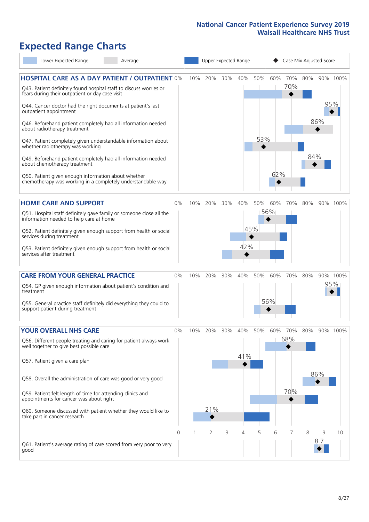# **Expected Range Charts**

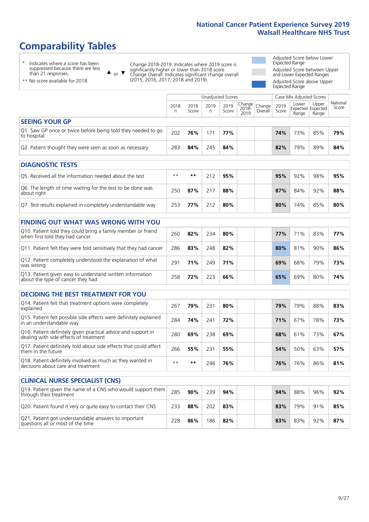# **Comparability Tables**

\* Indicates where a score has been suppressed because there are less than 21 responses.

\*\* No score available for 2018.

or  $\blacktriangledown$  $\blacktriangle$ 

Change 2018-2019: Indicates where 2019 score is significantly higher or lower than 2018 score Change Overall: Indicates significant change overall (2015, 2016, 2017, 2018 and 2019).

Adjusted Score below Lower Expected Range Adjusted Score between Upper and Lower Expected Ranges Adjusted Score above Upper Expected Range

|                                                                             |           |               | Unadjusted Scores |               |                          |                   |               | Case Mix Adjusted Scores |                                            |                   |
|-----------------------------------------------------------------------------|-----------|---------------|-------------------|---------------|--------------------------|-------------------|---------------|--------------------------|--------------------------------------------|-------------------|
|                                                                             | 2018<br>n | 2018<br>Score | 2019<br>n         | 2019<br>Score | Change <br>2018-<br>2019 | Change<br>Overall | 2019<br>Score | Lower<br>Range           | Upper<br><b>Expected Expected</b><br>Range | National<br>Score |
| <b>SEEING YOUR GP</b>                                                       |           |               |                   |               |                          |                   |               |                          |                                            |                   |
| Q1. Saw GP once or twice before being told they needed to go<br>to hospital | 202       | 76%           | 171               | 77%           |                          |                   | 74%           | 73%                      | 85%                                        | 79%               |
| Q2. Patient thought they were seen as soon as necessary                     | 283       | 84%           | 245               | 84%           |                          |                   | 82%           | 79%                      | 89%                                        | 84%               |
|                                                                             |           |               |                   |               |                          |                   |               |                          |                                            |                   |
| <b>DIAGNOSTIC TESTS</b>                                                     |           |               |                   |               |                          |                   |               |                          |                                            |                   |
| O5. Received all the information needed about the test                      | $***$     | **            | 212               | 95%           |                          |                   | 95%           | 92%                      | 98%                                        | 95%               |

| OS. Received all the implifiation needed about the test                   |     |     | ZIZ. | - 2270 |  | <b>2370</b> | 24 70 | <b>JO 70</b> | <b>5370</b> |
|---------------------------------------------------------------------------|-----|-----|------|--------|--|-------------|-------|--------------|-------------|
| Q6. The length of time waiting for the test to be done was<br>about right | 250 | 87% |      | 88%    |  | 87%         | 84%   | 92%          | 88%         |
| Q7. Test results explained in completely understandable way               | 253 | 77% | 212  | 80%    |  | 80%         | 74%   | 85%          | 80%         |

| 260 | 82% | 234 | 80% | 77% | 71% | 83% | 77% |
|-----|-----|-----|-----|-----|-----|-----|-----|
| 286 | 83% | 248 | 82% | 80% | 81% | 90% | 86% |
| 291 | 71% | 249 | 71% | 69% | 68% | 79% | 73% |
| 258 | 72% | 223 | 66% | 65% | 69% | 80% | 74% |
|     |     |     |     |     |     |     |     |

| <b>DECIDING THE BEST TREATMENT FOR YOU</b>                                                              |      |     |     |     |     |     |     |     |
|---------------------------------------------------------------------------------------------------------|------|-----|-----|-----|-----|-----|-----|-----|
| Q14. Patient felt that treatment options were completely<br>explained                                   | 267  | 79% | 231 | 80% | 79% | 79% | 88% | 83% |
| Q15. Patient felt possible side effects were definitely explained<br>in an understandable way           | 284  | 74% | 241 | 72% | 71% | 67% | 78% | 73% |
| Q16. Patient definitely given practical advice and support in<br>dealing with side effects of treatment | 280  | 69% | 238 | 69% | 68% | 61% | 73% | 67% |
| Q17. Patient definitely told about side effects that could affect<br>them in the future                 | 266  | 55% | 231 | 55% | 54% | 50% | 63% | 57% |
| Q18. Patient definitely involved as much as they wanted in<br>decisions about care and treatment        | $**$ | **  | 246 | 76% | 76% | 76% | 86% | 81% |

| <b>CLINICAL NURSE SPECIALIST (CNS)</b>                                                    |     |     |     |     |     |     |     |     |
|-------------------------------------------------------------------------------------------|-----|-----|-----|-----|-----|-----|-----|-----|
| Q19. Patient given the name of a CNS who would support them<br>through their treatment    | 285 | 90% | 239 | 94% | 94% | 88% | 96% | 92% |
| Q20. Patient found it very or quite easy to contact their CNS                             | 233 | 88% | 202 | 83% | 83% | 79% | 91% | 85% |
| Q21. Patient got understandable answers to important<br>questions all or most of the time | 228 | 86% | 186 | 82% | 83% | 83% | 92% | 87% |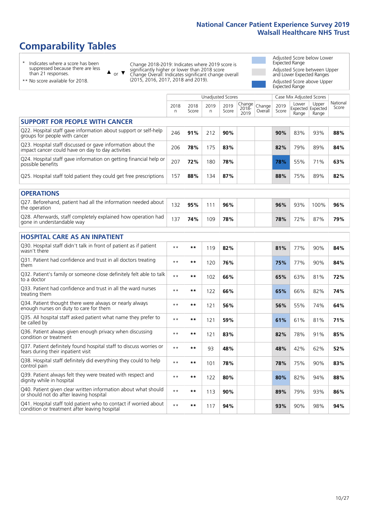# **Comparability Tables**

\* Indicates where a score has been suppressed because there are less than 21 responses.

\*\* No score available for 2018.

 $\triangle$  or  $\nabla$ 

Change 2018-2019: Indicates where 2019 score is significantly higher or lower than 2018 score Change Overall: Indicates significant change overall (2015, 2016, 2017, 2018 and 2019).

Adjusted Score below Lower Expected Range Adjusted Score between Upper and Lower Expected Ranges Adjusted Score above Upper Expected Range

|                                                                                                                   |              |               |            | <b>Unadjusted Scores</b> |                         |                   |               | Case Mix Adjusted Scores            |                |                   |
|-------------------------------------------------------------------------------------------------------------------|--------------|---------------|------------|--------------------------|-------------------------|-------------------|---------------|-------------------------------------|----------------|-------------------|
|                                                                                                                   | 2018<br>n    | 2018<br>Score | 2019<br>n. | 2019<br>Score            | Change<br>2018-<br>2019 | Change<br>Overall | 2019<br>Score | Lower<br>Expected Expected<br>Range | Upper<br>Range | National<br>Score |
| <b>SUPPORT FOR PEOPLE WITH CANCER</b>                                                                             |              |               |            |                          |                         |                   |               |                                     |                |                   |
| Q22. Hospital staff gave information about support or self-help<br>groups for people with cancer                  | 246          | 91%           | 212        | 90%                      |                         |                   | 90%           | 83%                                 | 93%            | 88%               |
| Q23. Hospital staff discussed or gave information about the<br>impact cancer could have on day to day activities  | 206          | 78%           | 175        | 83%                      |                         |                   | 82%           | 79%                                 | 89%            | 84%               |
| Q24. Hospital staff gave information on getting financial help or<br>possible benefits                            | 207          | 72%           | 180        | 78%                      |                         |                   | 78%           | 55%                                 | 71%            | 63%               |
| Q25. Hospital staff told patient they could get free prescriptions                                                | 157          | 88%           | 134        | 87%                      |                         |                   | 88%           | 75%                                 | 89%            | 82%               |
| <b>OPERATIONS</b>                                                                                                 |              |               |            |                          |                         |                   |               |                                     |                |                   |
| Q27. Beforehand, patient had all the information needed about<br>the operation                                    | 132          | 95%           | 111        | 96%                      |                         |                   | 96%           | 93%                                 | 100%           | 96%               |
| Q28. Afterwards, staff completely explained how operation had<br>gone in understandable way                       | 137          | 74%           | 109        | 78%                      |                         |                   | 78%           | 72%                                 | 87%            | 79%               |
| <b>HOSPITAL CARE AS AN INPATIENT</b>                                                                              |              |               |            |                          |                         |                   |               |                                     |                |                   |
| Q30. Hospital staff didn't talk in front of patient as if patient<br>wasn't there                                 | $**$         | $***$         | 119        | 82%                      |                         |                   | 81%           | 77%                                 | 90%            | 84%               |
| Q31. Patient had confidence and trust in all doctors treating<br>them                                             | $\star\star$ | $**$          | 120        | 76%                      |                         |                   | 75%           | 77%                                 | 90%            | 84%               |
| Q32. Patient's family or someone close definitely felt able to talk<br>to a doctor                                | $**$         | $***$         | 102        | 66%                      |                         |                   | 65%           | 63%                                 | 81%            | 72%               |
| Q33. Patient had confidence and trust in all the ward nurses<br>treating them                                     | $\star\star$ | $***$         | 122        | 66%                      |                         |                   | 65%           | 66%                                 | 82%            | 74%               |
| Q34. Patient thought there were always or nearly always<br>enough nurses on duty to care for them                 | $* *$        | $**$          | 121        | 56%                      |                         |                   | 56%           | 55%                                 | 74%            | 64%               |
| Q35. All hospital staff asked patient what name they prefer to<br>be called by                                    | $**$         | $***$         | 121        | 59%                      |                         |                   | 61%           | 61%                                 | 81%            | 71%               |
| Q36. Patient always given enough privacy when discussing<br>condition or treatment                                | $* *$        | $***$         | 121        | 83%                      |                         |                   | 82%           | 78%                                 | 91%            | 85%               |
| Q37. Patient definitely found hospital staff to discuss worries or<br>fears during their inpatient visit          | $**$         | **            | 93         | 48%                      |                         |                   | 48%           | 42%                                 | 62%            | 52%               |
| Q38. Hospital staff definitely did everything they could to help<br>control pain                                  | $**$         | $***$         | 101        | 78%                      |                         |                   | 78%           | 75%                                 | 90%            | 83%               |
| Q39. Patient always felt they were treated with respect and<br>dignity while in hospital                          | $\star\star$ | $**$          | 122        | 80%                      |                         |                   | 80%           | 82%                                 | 94%            | 88%               |
| Q40. Patient given clear written information about what should<br>or should not do after leaving hospital         | $**$         | $***$         | 113        | 90%                      |                         |                   | 89%           | 79%                                 | 93%            | 86%               |
| Q41. Hospital staff told patient who to contact if worried about<br>condition or treatment after leaving hospital | $\star\star$ | $***$         | 117        | 94%                      |                         |                   | 93%           | 90%                                 | 98%            | 94%               |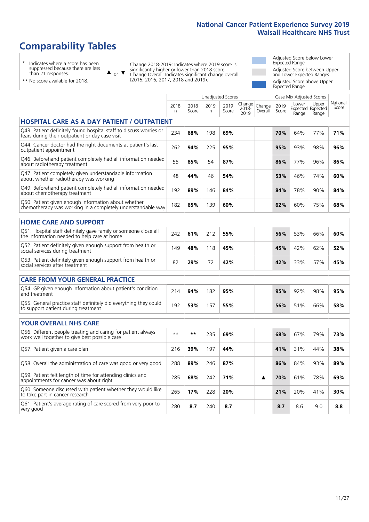# **Comparability Tables**

\* Indicates where a score has been suppressed because there are less than 21 responses.

\*\* No score available for 2018.

or  $\blacktriangledown$  $\blacktriangle$ 

Change 2018-2019: Indicates where 2019 score is significantly higher or lower than 2018 score Change Overall: Indicates significant change overall (2015, 2016, 2017, 2018 and 2019).

Adjusted Score below Lower Expected Range Adjusted Score between Upper and Lower Expected Ranges Adjusted Score above Upper Expected Range

|                                                                                                                       |              |               |            | <b>Unadjusted Scores</b> |                         |                   |               | Case Mix Adjusted Scores |                                     |                   |
|-----------------------------------------------------------------------------------------------------------------------|--------------|---------------|------------|--------------------------|-------------------------|-------------------|---------------|--------------------------|-------------------------------------|-------------------|
|                                                                                                                       | 2018<br>n    | 2018<br>Score | 2019<br>n. | 2019<br>Score            | Change<br>2018-<br>2019 | Change<br>Overall | 2019<br>Score | Lower<br>Range           | Upper<br>Expected Expected<br>Range | National<br>Score |
| <b>HOSPITAL CARE AS A DAY PATIENT / OUTPATIENT</b>                                                                    |              |               |            |                          |                         |                   |               |                          |                                     |                   |
| Q43. Patient definitely found hospital staff to discuss worries or<br>fears during their outpatient or day case visit | 234          | 68%           | 198        | 69%                      |                         |                   | 70%           | 64%                      | 77%                                 | 71%               |
| Q44. Cancer doctor had the right documents at patient's last<br>outpatient appointment                                | 262          | 94%           | 225        | 95%                      |                         |                   | 95%           | 93%                      | 98%                                 | 96%               |
| Q46. Beforehand patient completely had all information needed<br>about radiotherapy treatment                         | 55           | 85%           | 54         | 87%                      |                         |                   | 86%           | 77%                      | 96%                                 | 86%               |
| Q47. Patient completely given understandable information<br>about whether radiotherapy was working                    | 48           | 44%           | 46         | 54%                      |                         |                   | 53%           | 46%                      | 74%                                 | 60%               |
| Q49. Beforehand patient completely had all information needed<br>about chemotherapy treatment                         | 192          | 89%           | 146        | 84%                      |                         |                   | 84%           | 78%                      | 90%                                 | 84%               |
| Q50. Patient given enough information about whether<br>chemotherapy was working in a completely understandable way    | 182          | 65%           | 139        | 60%                      |                         |                   | 62%           | 60%                      | 75%                                 | 68%               |
| <b>HOME CARE AND SUPPORT</b>                                                                                          |              |               |            |                          |                         |                   |               |                          |                                     |                   |
| Q51. Hospital staff definitely gave family or someone close all<br>the information needed to help care at home        | 242          | 61%           | 212        | 55%                      |                         |                   | 56%           | 53%                      | 66%                                 | 60%               |
| Q52. Patient definitely given enough support from health or<br>social services during treatment                       | 149          | 48%           | 118        | 45%                      |                         |                   | 45%           | 42%                      | 62%                                 | 52%               |
| Q53. Patient definitely given enough support from health or<br>social services after treatment                        | 82           | 29%           | 72         | 42%                      |                         |                   | 42%           | 33%                      | 57%                                 | 45%               |
|                                                                                                                       |              |               |            |                          |                         |                   |               |                          |                                     |                   |
| <b>CARE FROM YOUR GENERAL PRACTICE</b>                                                                                |              |               |            |                          |                         |                   |               |                          |                                     |                   |
| Q54. GP given enough information about patient's condition<br>and treatment                                           | 214          | 94%           | 182        | 95%                      |                         |                   | 95%           | 92%                      | 98%                                 | 95%               |
| Q55. General practice staff definitely did everything they could<br>to support patient during treatment               | 192          | 53%           | 157        | 55%                      |                         |                   | 56%           | 51%                      | 66%                                 | 58%               |
| <b>YOUR OVERALL NHS CARE</b>                                                                                          |              |               |            |                          |                         |                   |               |                          |                                     |                   |
|                                                                                                                       |              |               |            |                          |                         |                   |               |                          |                                     |                   |
| Q56. Different people treating and caring for patient always<br>work well together to give best possible care         | $\star\star$ | $\star\star$  | 235        | 69%                      |                         |                   | 68%           | 67%                      | 79%                                 | 73%               |
| Q57. Patient given a care plan                                                                                        | 216          | 39%           | 197        | 44%                      |                         |                   | 41%           | 31%                      | 44%                                 | 38%               |
| Q58. Overall the administration of care was good or very good                                                         | 288          | 89%           | 246        | 87%                      |                         |                   | 86%           | 84%                      | 93%                                 | 89%               |
| Q59. Patient felt length of time for attending clinics and<br>appointments for cancer was about right                 | 285          | 68%           | 242        | 71%                      |                         | ▲                 | 70%           | 61%                      | 78%                                 | 69%               |
| Q60. Someone discussed with patient whether they would like<br>to take part in cancer research                        | 265          | 17%           | 228        | 20%                      |                         |                   | 21%           | 20%                      | 41%                                 | 30%               |
|                                                                                                                       |              |               |            |                          |                         |                   |               |                          |                                     |                   |

Q61. Patient's average rating of care scored from very poor to very good <sup>280</sup> **8.7** <sup>240</sup> **8.7 8.7** 8.6 9.0 **8.8**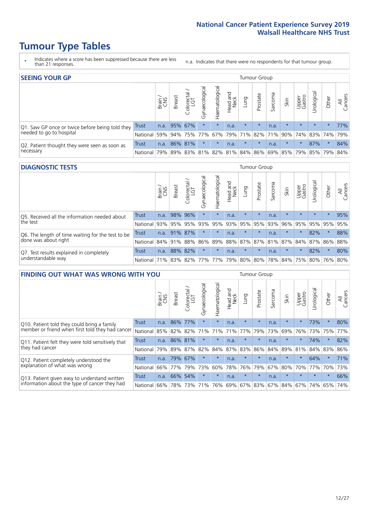- \* Indicates where a score has been suppressed because there are less than 21 responses.
- n.a. Indicates that there were no respondents for that tumour group.

| <b>SEEING YOUR GP</b>                           |              |       |               |                   |                |                |                  |                       | Tumour Group |         |         |                 |                                                 |         |                |
|-------------------------------------------------|--------------|-------|---------------|-------------------|----------------|----------------|------------------|-----------------------|--------------|---------|---------|-----------------|-------------------------------------------------|---------|----------------|
|                                                 |              | Brain | <b>Breast</b> | Colorectal<br>LGT | Gynaecological | Haematological | Head and<br>Neck | <b>Dung</b>           | Prostate     | Sarcoma | Skin    | Upper<br>Gastro | Urological                                      | Other   | All<br>Cancers |
| Q1. Saw GP once or twice before being told they | <b>Trust</b> | n.a.  | 95% 67%       |                   | $\star$        | $\star$        | n.a.             | $\star$               | $\star$      | n.a.    | $\star$ | $\star$         | $\star$                                         | $\star$ | 77%            |
| needed to go to hospital                        | National     | 59%   |               | 94% 75% 77%       |                |                |                  | 67%   79%   71%   82% |              |         |         |                 | 71% 90% 74% 83% 74%                             |         | 79%            |
| Q2. Patient thought they were seen as soon as   | Trust        | n.a.  |               | 86% 81%           | $\star$        | $\star$        | n.a.             | $\star$               | $\star$      | n.a.    | $\star$ | $\star$         | 87%                                             | $\star$ | 84%            |
| necessary                                       | National     | 79%   |               |                   |                |                |                  |                       |              |         |         |                 | 89% 83% 81% 82% 81% 84% 86% 69% 85% 79% 85% 79% |         | 84%            |

#### **DIAGNOSTIC TESTS** Tumour Group

|                                                   |                 | Brain<br>CNS | <b>Breast</b> | Colorectal<br>LGT | ᠊ᢛ<br>Gynaecologic | Haematological | Head and<br>Neck | Lung                        | Prostate | Sarcoma | Skin    | Upper<br>Gastro | rological                                   | Other   | All<br>Cancers |
|---------------------------------------------------|-----------------|--------------|---------------|-------------------|--------------------|----------------|------------------|-----------------------------|----------|---------|---------|-----------------|---------------------------------------------|---------|----------------|
| Q5. Received all the information needed about     | <b>Trust</b>    | n.a.         |               | 98% 96%           | $\star$            | $\star$        | n.a.             | $\star$                     | $\star$  | n.a.    |         | $\star$         | $\star$                                     | $\star$ | 95%            |
| $\vert$ the test                                  | National        | 93%          |               | 95% 95%           | 93%                | 95%            |                  | 93% 95%                     | 95%      | 93%     | 96%     | 95%             | 95%                                         | 95%     | 95%            |
| Q6. The length of time waiting for the test to be | Trust           | n.a.         |               | 91% 87%           | $\star$            | $\star$        | n.a.             | $\star$                     | $\star$  | n.a.    | $\star$ | $\star$         | 82%                                         | $\star$ | 88%            |
| done was about right                              | <b>National</b> |              | 84% 91% 88%   |                   |                    |                |                  |                             |          |         |         |                 | 86% 89% 88% 87% 87% 81% 87% 84% 87% 86% 88% |         |                |
| Q7. Test results explained in completely          | Trust           | n.a.         |               | 88% 82%           | $\star$            | $\star$        | n.a.             | $\star$                     | $\star$  | n.a.    | $\star$ | $\star$         | 82%                                         | $\star$ | 80%            |
| understandable way                                | National 71%    |              |               |                   |                    |                |                  | 83% 82% 77% 77% 79% 80% 80% |          |         |         |                 | 78% 84% 75% 80% 76% 80%                     |         |                |

| <b>FINDING OUT WHAT WAS WRONG WITH YOU</b>        |          |       |               |                       |                |                |                  |             | <b>Tumour Group</b> |         |         |                 |           |         |                |
|---------------------------------------------------|----------|-------|---------------|-----------------------|----------------|----------------|------------------|-------------|---------------------|---------|---------|-----------------|-----------|---------|----------------|
|                                                   |          | Brain | <b>Breast</b> | olorectal<br>LGT<br>Ū | Gynaecological | Haematological | Head and<br>Neck | Lung        | Prostate            | Sarcoma | Skin    | Upper<br>Gastro | Jrologica | Other   | All<br>Cancers |
| Q10. Patient told they could bring a family       | Trust    | n.a.  | 86% 77%       |                       | $\star$        | $\star$        | n.a.             | $\star$     | $\star$             | n.a.    | $\star$ | $\star$         | 73%       | $\star$ | 80%            |
| member or friend when first told they had cancer  | National | 85%   | 82%           | 82%                   | 71%            | 71%            | 71%              | 77%         | 79%                 | 73%     | 69%     | 76%             | 73%       | 75%     | 77%            |
| Q11. Patient felt they were told sensitively that | Trust    | n.a.  | 86% 81%       |                       | $\star$        | $\ast$         | n.a.             | $\star$     | $\star$             | n.a.    | $\star$ | $\star$         | 74%       | $\star$ | 82%            |
| they had cancer                                   | National | 79%   | 89% 87%       |                       | 82%            |                |                  | 84% 87% 83% | 86%                 | 84%     | 89%     | 81%             | 84% 83%   |         | 86%            |
| Q12. Patient completely understood the            | Trust    | n.a.  | 79%           | 67%                   | $\star$        | $\ast$         | n.a.             | $\star$     | $\star$             | n.a.    |         | $\star$         | 64%       | $\star$ | 71%            |
| explanation of what was wrong                     | National | 66%   | 77%           | 79%                   | 73%            | 60%            | 78%              | 76%         | 79%                 | 67%     | 80%     | 70%             | 77%       | 70%     | 73%            |
| Q13. Patient given easy to understand written     | Trust    | n.a.  | 66%           | 54%                   | $\star$        | $\ast$         | n.a.             | $\star$     | $\star$             | n.a.    | $\star$ | $\star$         | $\star$   | $\star$ | 66%            |
| information about the type of cancer they had     | National | 66%   | 78%           | 73%                   | 71%            | 76%            |                  | 69% 67%     | 83%                 | 67%     | 84%     | 67%             | 74%       | 65%     | 74%            |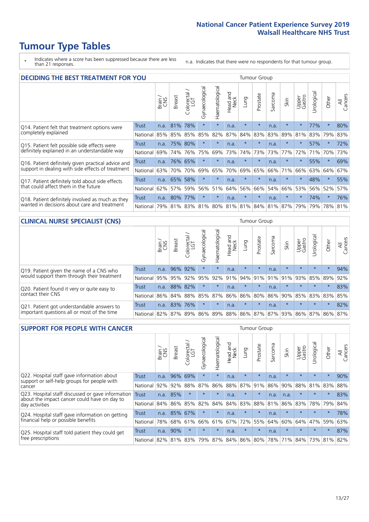\* Indicates where a score has been suppressed because there are less than 21 responses.

n.a. Indicates that there were no respondents for that tumour group.

| <b>DECIDING THE BEST TREATMENT FOR YOU</b>         |          |       |               |                             |                |                |                         |                                     | <b>Tumour Group</b> |         |         |                 |            |         |                |
|----------------------------------------------------|----------|-------|---------------|-----------------------------|----------------|----------------|-------------------------|-------------------------------------|---------------------|---------|---------|-----------------|------------|---------|----------------|
|                                                    |          | Brain | <b>Breast</b> | olorectal.<br>LGT<br>$\cup$ | Gynaecological | Haematological | ead and<br>Neck<br>Head | <b>Lung</b>                         | Prostate            | Sarcoma | Skin    | Upper<br>Gastro | Jrological | Other   | All<br>Cancers |
| Q14. Patient felt that treatment options were      | Trust    | n.a.  | 81%           | 78%                         | $\star$        | $\star$        | n.a.                    | $\star$                             | $\star$             | n.a.    | $\star$ | $\star$         | 77%        | $\star$ | 80%            |
| completely explained                               | National | 85%   | 85%           | 85%                         | 85%            | 82%            | 87%                     | 84%                                 | 83%                 | 83%     | 89%     | 81%             | 83%        | 79%     | 83%            |
| Q15. Patient felt possible side effects were       | Trust    | n.a.  | 75%           | 80%                         | $\star$        | $\star$        | n.a.                    | $\star$                             | $\star$             | n.a.    | $\star$ | $\star$         | 57%        | $\star$ | 72%            |
| definitely explained in an understandable way      | National | 69%   | 74%           | 76%                         | 75%            | 69%            | 73%                     | 74%                                 | 73%                 | 73%     | 77%     | 72%             | 71%        | 70%     | 73%            |
| Q16. Patient definitely given practical advice and | Trust    | n.a.  | 76%           | 65%                         | $\star$        | $\star$        | n.a.                    | $\star$                             | $\star$             | n.a.    | $\star$ | $\star$         | 55%        | $\star$ | 69%            |
| support in dealing with side effects of treatment  | National | 63%   | 70%           | 70%                         | 69%            | 65%            | 70%                     | 69%                                 | 65%                 | 66%     | 71%     | 66%             | 63%        | 64%     | 67%            |
| Q17. Patient definitely told about side effects    | Trust    | n.a.  | 65%           | 58%                         | $\star$        | $\star$        | n.a.                    | $\star$                             | $\star$             | n.a.    |         | $\star$         | 48%        | $\star$ | 55%            |
| that could affect them in the future               | National | 62%   | 57%           | 59%                         | 56%            | 51%            | 64%                     | 56%                                 | 66%                 | 54%     | 66%     | 53%             | 56%        | 52%     | 57%            |
| Q18. Patient definitely involved as much as they   | Trust    | n.a.  | 80%           | 77%                         | $\star$        | $\star$        | n.a.                    | $\star$                             | $\star$             | n.a.    | $\star$ | $\star$         | 74%        | $\star$ | 76%            |
| wanted in decisions about care and treatment       | National | 79%   |               |                             |                |                |                         | 81% 83% 81% 80% 81% 81% 84% 81% 87% |                     |         |         | 79%             | 79%        | 78%     | 81%            |

#### **CLINICAL NURSE SPECIALIST (CNS)** Tumour Group

|                                             |              | Brain | Breast | Colorectal<br>LGT | ᢛ<br>Gynaecologic | Haematological | Head and<br>Neck | Lung    | Prostate | Sarcoma | Skin                        | Upper<br>Gastro | rological       | Other    | All<br>Cancers |
|---------------------------------------------|--------------|-------|--------|-------------------|-------------------|----------------|------------------|---------|----------|---------|-----------------------------|-----------------|-----------------|----------|----------------|
| Q19. Patient given the name of a CNS who    | <b>Trust</b> | n.a.  |        | 96% 92%           | $\star$           | $\star$        | n.a.             | $\star$ | $\star$  | n.a.    |                             | $\star$         | $\star$         | $\star$  | 94%            |
| would support them through their treatment  | National     | 95%   | 95%    | 92%               | 95%               | 92%            | 91%              | 94% 91% |          | 91%     | 91%                         | 93%             | 85%             | 89%      | 92%            |
| Q20. Patient found it very or quite easy to | Trust        | n.a.  | 88%    | 82%               |                   | $\star$        | n.a.             | $\star$ | $\star$  | n.a.    |                             | $\star$         | $\star$         | $\star$  | 83%            |
| contact their CNS                           | National     | 86%   | $84\%$ | 88%               | 85%               |                | 87% 86% 86% 80%  |         |          | 86%     | 90%                         | 85%             | 83% 83% 85%     |          |                |
| Q21. Patient got understandable answers to  | Trust        | n.a.  | 83%    | 76%               | $\star$           | $\star$        | n.a.             | $\star$ | $\star$  | n.a.    | $\star$                     | $\star$         | $\star$         | $^\star$ | 82%            |
| important questions all or most of the time | National     | 82%   | 87%    | 89%               |                   |                |                  |         |          |         | 86% 89% 88% 86% 87% 87% 93% |                 | 86% 87% 86% 87% |          |                |

| <b>SUPPORT FOR PEOPLE WITH CANCER</b>                                                             |              |       |               |            |                |                |                        |             | <b>Tumour Group</b> |         |         |                 |            |         |                |
|---------------------------------------------------------------------------------------------------|--------------|-------|---------------|------------|----------------|----------------|------------------------|-------------|---------------------|---------|---------|-----------------|------------|---------|----------------|
|                                                                                                   |              | Brain | <b>Breast</b> | Colorectal | Gynaecological | Haematological | ad and<br>Neck<br>Head | Lung        | Prostate            | Sarcoma | Skin    | Upper<br>Gastro | Urological | Other   | All<br>Cancers |
| Q22. Hospital staff gave information about<br>support or self-help groups for people with         | Trust        | n.a.  | 96%           | 69%        | $\star$        | $\star$        | n.a.                   | $\star$     | $\star$             | n.a.    | $\star$ | $\star$         | $\star$    | $\star$ | 90%            |
| cancer                                                                                            | National     | 92%   | 92%           | 88%        | 87%            | 86%            | 88%                    | 87%         | 91%                 | 86%     | 90%     | 88%             | 81%        | 83%     | 88%            |
| Q23. Hospital staff discussed or gave information<br>about the impact cancer could have on day to | <b>Trust</b> | n.a.  | 85%           | $\star$    | $\star$        | $\star$        | n.a.                   | $\star$     | $\star$             | n.a.    | n.a.    | $\star$         | $\star$    | $\star$ | 83%            |
| day activities                                                                                    | National     | 84%   | 86%           | 85%        | 82%            | 84%            | 84%                    | 83%         | 88%                 | 81%     | 86%     | 83%             | 78%        | 79%     | 84%            |
| Q24. Hospital staff gave information on getting                                                   | Trust        | n.a.  | 85% 67%       |            | $\star$        | $\star$        | n.a.                   | $\star$     | $\star$             | n.a.    | $\star$ | $\star$         | $\star$    | $\ast$  | 78%            |
| financial help or possible benefits                                                               | National     | 78%   | 68%           | 61%        | 66%            | 61%            | 67%                    | 72%         | 55%                 | 64%     | 60%     | 64%             | 47%        | 59%     | 63%            |
| Q25. Hospital staff told patient they could get                                                   | Trust        | n.a.  | 90%           | $\star$    | $\star$        | $\star$        | n.a.                   | $\star$     | $\star$             | n.a.    | $\star$ | $\star$         | $\star$    | $\star$ | 87%            |
| free prescriptions                                                                                | National     | 82%   | 81%           | 83%        | 79%            | 87%            |                        | 84% 86% 80% |                     | 78%     | 71%     | 84%             | 73%        | 81%     | 82%            |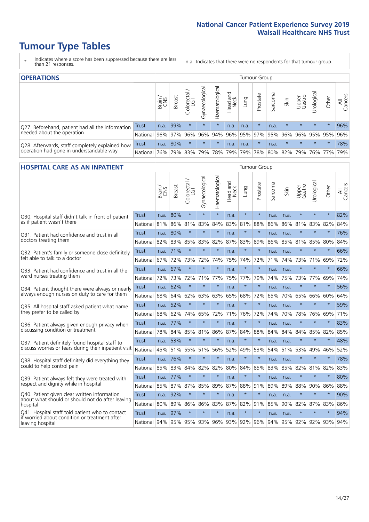- \* Indicates where a score has been suppressed because there are less than 21 responses.
- n.a. Indicates that there were no respondents for that tumour group.

| <b>OPERATIONS</b>                                |              |       |               |            |                    |                |                  |      | Tumour Group |         |                     |                 |                             |         |                |
|--------------------------------------------------|--------------|-------|---------------|------------|--------------------|----------------|------------------|------|--------------|---------|---------------------|-----------------|-----------------------------|---------|----------------|
|                                                  |              | Brain | <b>Breast</b> | Colorectal | ᠊ᢛ<br>Gynaecologic | Haematological | Head and<br>Neck | Lung | Prostate     | Sarcoma | Skin                | Upper<br>Gastro | $\sigma$<br>Jrologica       | Other   | All<br>Cancers |
| Q27. Beforehand, patient had all the information | <b>Trust</b> | n.a.  | 99%           | $\star$    | $\star$            |                | n.a.             | n.a. | $\star$      | n.a.    | $\star$             | $\star$         | $\star$                     | $\star$ | 96%            |
| needed about the operation                       | National     | 96%   | 97%           | 96%        | 96%                | 94%            |                  |      |              |         | 96% 95% 97% 95% 96% | 96%             |                             | 95% 95% | 96%            |
| Q28. Afterwards, staff completely explained how  | Trust        | n.a.  | 80%           | $\star$    | $\star$            | $\star$        | n.a.             | n.a. | $\star$      | n.a.    | $\star$             | $\star$         | $\star$                     | $\star$ | 78%            |
| operation had gone in understandable way         | National     | 76%   |               | 79% 83%    | 79%                |                | 78% 79%          |      |              |         |                     |                 | 79% 78% 80% 82% 79% 76% 77% |         | 79%            |

#### **HOSPITAL CARE AS AN INPATIENT** Tumour Group

|                                                                                                  |              | Brain | <b>Breast</b>   | $\frac{\text{Colored}}{\text{LGT}}$ | Gynaecological | Haematological | Head and<br><b>Neck</b> | Lung    | Prostate | Sarcoma | Skin | Upper<br>Gastro | Urological | Other   | Cancers<br>$\equiv$ |
|--------------------------------------------------------------------------------------------------|--------------|-------|-----------------|-------------------------------------|----------------|----------------|-------------------------|---------|----------|---------|------|-----------------|------------|---------|---------------------|
| Q30. Hospital staff didn't talk in front of patient                                              | Trust        | n.a.  | 80%             | $\star$                             | $\star$        | $\star$        | n.a.                    | $\star$ | $\star$  | n.a.    | n.a. | $\star$         | $\star$    | $\star$ | 82%                 |
| as if patient wasn't there                                                                       | National     | 81%   | 86%             | 81%                                 | 83%            | 84%            | 83%                     | 81%     | 88%      | 86%     | 86%  | 81%             | 83%        | 82%     | 84%                 |
| 031. Patient had confidence and trust in all                                                     | Trust        | n.a.  | 80%             | $\star$                             | $\star$        | $\star$        | n.a.                    | $\star$ | $\star$  | n.a.    | n.a. | $\star$         | $\star$    | $\star$ | 76%                 |
| doctors treating them                                                                            | National     | 82%   | 83%             | 85%                                 | 83%            | 82%            | 87%                     | 83%     | 89%      | 86%     | 85%  | 81%             | 85%        | 80%     | 84%                 |
| Q32. Patient's family or someone close definitely                                                | Trust        | n.a.  | 71%             | $\star$                             | $\star$        | $\star$        | n.a.                    | $\star$ | $\star$  | n.a.    | n.a. |                 | $\star$    | $\star$ | 66%                 |
| felt able to talk to a doctor                                                                    | National     | 67%   | 72%             | 73%                                 | 72%            | 74%            | 75%                     | 74%     | 72%      | 71%     | 74%  | 73%             | 71%        | 69%     | 72%                 |
| Q33. Patient had confidence and trust in all the                                                 | <b>Trust</b> | n.a.  | 67%             | $\star$                             | $\star$        | $\star$        | n.a.                    | $\star$ | $\star$  | n.a.    | n.a. | $\star$         | $\star$    | $\star$ | 66%                 |
| ward nurses treating them                                                                        | National     | 72%   | 73%             | 72%                                 | 71%            | 77%            |                         | 75% 77% | 79%      | 74%     | 75%  | 73%             | 77%        | 69%     | 74%                 |
| Q34. Patient thought there were always or nearly                                                 | <b>Trust</b> | n.a.  | 62%             | $\star$                             | $\star$        | $\star$        | n.a.                    | $\star$ | $\star$  | n.a.    | n.a. | $\star$         | $\star$    | $\star$ | 56%                 |
| always enough nurses on duty to care for them                                                    | National     | 68%   | 64%             | 62%                                 | 63%            | 63%            | 65%                     | 68%     | 72%      | 65%     | 70%  | 65%             | 66%        | 60%     | 64%                 |
| Q35. All hospital staff asked patient what name                                                  | <b>Trust</b> | n.a.  | 52%             | $\star$                             | $\star$        | $\star$        | n.a.                    | $\star$ | $\star$  | n.a.    | n.a. | $\star$         | $\star$    | $\star$ | 59%                 |
| they prefer to be called by                                                                      | National     | 68%   | 62%             | 74%                                 | 65%            | 72%            | 71%                     | 76%     | 72%      | 74%     | 70%  | 78%             | 76%        | 69%     | 71%                 |
| Q36. Patient always given enough privacy when                                                    | Trust        | n.a.  | 77%             | $\star$                             | $\star$        | $\star$        | n.a.                    | $\star$ | $\star$  | n.a.    | n.a. | $\star$         | $\star$    | $\star$ | 83%                 |
| discussing condition or treatment                                                                | National     | 78%   | 84%             | 85%                                 | 81%            | 86%            |                         | 87% 84% | 88%      | 84%     | 84%  | 84%             | 85%        | 82%     | 85%                 |
| Q37. Patient definitely found hospital staff to                                                  | <b>Trust</b> | n.a.  | 53%             | $\star$                             | $\star$        | $\star$        | n.a.                    | $\star$ | $\star$  | n.a.    | n.a. | $\star$         | $\star$    | $\star$ | 48%                 |
| discuss worries or fears during their inpatient visit                                            | National     | 45%   | 51%             | 55%                                 | 51%            | 56%            | 52%                     | 49%     | 53%      | 54%     | 51%  | 53%             | 49%        | 46%     | 52%                 |
| Q38. Hospital staff definitely did everything they                                               | Trust        | n.a.  | 76%             | $\star$                             | $\star$        | $\star$        | n.a.                    | $\star$ | $\star$  | n.a.    | n.a. | $\star$         | $\star$    | $\star$ | 78%                 |
| could to help control pain                                                                       | National     | 85%   | 83%             | 84%                                 | 82%            | 82%            | 80%                     | 84%     | 85%      | 83%     | 85%  | 82%             | 81%        | 82%     | 83%                 |
| Q39. Patient always felt they were treated with                                                  | <b>Trust</b> | n.a.  | 77%             | $\star$                             | $\star$        | $\star$        | n.a.                    | $\star$ | $\star$  | n.a.    | n.a. | $\star$         | $\star$    | $\star$ | 80%                 |
| respect and dignity while in hospital                                                            | National     | 85%   | 87%             | 87%                                 | 85%            | 89%            | 87%                     | 88%     | 91%      | 89%     | 89%  | 88%             | 90%        | 86%     | 88%                 |
| Q40. Patient given clear written information<br>about what should or should not do after leaving | Trust        | n.a.  | 92%             | $\star$                             | $\star$        | $\star$        | n.a.                    | $\star$ | $\star$  | n.a.    | n.a. | $\star$         | $\star$    | $\star$ | 90%                 |
| hospital                                                                                         | National     | 80%   | 89%             | 86%                                 | 86%            | 83%            | 87%                     | 82%     | 91%      | 85%     | 90%  | 82%             | 87%        | 83%     | 86%                 |
| Q41. Hospital staff told patient who to contact<br>if worried about condition or treatment after | <b>Trust</b> | n.a.  | 97%             | $\star$                             | $\star$        | $\star$        | n.a.                    | $\star$ | $\star$  | n.a.    | n.a. | $\star$         | $\star$    | $\star$ | 94%                 |
| leaving hospital                                                                                 | National I   |       | 94% 95% 95% 93% |                                     |                | 96%            |                         | 93% 92% | 96%      | 94%     |      | 95% 92%         | 92%        | 93%     | 94%                 |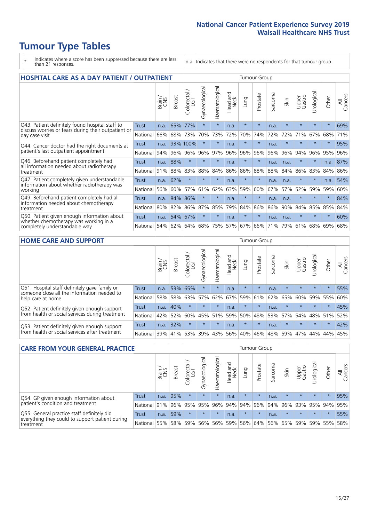- \* Indicates where a score has been suppressed because there are less than 21 responses.
- n.a. Indicates that there were no respondents for that tumour group.

| <b>HOSPITAL CARE AS A DAY PATIENT / OUTPATIENT</b>                                                                    |              |       |               |                              |                |                |                         |         | <b>Tumour Group</b> |         |         |                 |            |         |                |  |  |  |  |  |  |  |  |
|-----------------------------------------------------------------------------------------------------------------------|--------------|-------|---------------|------------------------------|----------------|----------------|-------------------------|---------|---------------------|---------|---------|-----------------|------------|---------|----------------|--|--|--|--|--|--|--|--|
|                                                                                                                       |              | Brain | <b>Breast</b> | ╮<br>olorectal /<br>LGT<br>Ũ | Gynaecological | Haematological | ead and<br>Neck<br>Head | Lung    | Prostate            | Sarcoma | Skin    | Upper<br>Gastro | Urological | Other   | All<br>Cancers |  |  |  |  |  |  |  |  |
| Q43. Patient definitely found hospital staff to                                                                       | <b>Trust</b> | n.a.  | 65%           | 77%                          | $\star$        | $\star$        | n.a.                    | $\star$ | $\star$             | n.a.    | $\star$ | $\star$         | $\star$    | $\star$ | 69%            |  |  |  |  |  |  |  |  |
| discuss worries or fears during their outpatient or<br>day case visit                                                 | National     | 66%   | 68%           | 73%                          | 70%            | 73%            | 72%                     | 70%     | 74%                 | 72%     | 72%     | 71%             | 67%        | 68%     | 71%            |  |  |  |  |  |  |  |  |
| Q44. Cancer doctor had the right documents at<br>patient's last outpatient appointment                                | Trust        | n.a.  |               | 93% 100%                     | $\star$        | $\ast$         | n.a.                    | $\star$ | $\star$             | n.a.    |         |                 | $\star$    | $\ast$  | 95%            |  |  |  |  |  |  |  |  |
|                                                                                                                       | National     | 94%   | 96%           | 96%                          | 96%            | 97%            | 96%                     | 96%     | 96%                 | 96%     | 96%     | 94%             | 96%        | 95%     | 96%            |  |  |  |  |  |  |  |  |
| Q46. Beforehand patient completely had                                                                                | Trust        | n.a.  | 88%           | $\star$                      |                | $\star$        | n.a.                    | $\star$ | $\star$             | n.a.    | n.a.    | $\star$         | $\star$    | n.a.    | 87%            |  |  |  |  |  |  |  |  |
| all information needed about radiotherapy<br>treatment                                                                | National     | 91%   | 88%           | 83%                          | 88%            | 84%            | 86%                     | 86%     | 88%                 | 88%     | 84%     | 86%             | 83%        | 84%     | 86%            |  |  |  |  |  |  |  |  |
| Q47. Patient completely given understandable                                                                          | Trust        | n.a.  | 62%           | $\star$                      | $\star$        | $\star$        | n.a.                    | $\star$ | $\star$             | n.a.    | n.a.    | $\star$         | $\star$    | n.a.    | 54%            |  |  |  |  |  |  |  |  |
| information about whether radiotherapy was<br>working                                                                 | National     | 56%   | 60%           | 57%                          | 61%            | 62%            | 63%                     | 59%     | 60%                 | 67%     | 57%     | 52%             | 59%        | 59%     | 60%            |  |  |  |  |  |  |  |  |
| Q49. Beforehand patient completely had all                                                                            | Trust        | n.a.  | 84%           | 86%                          | $\star$        | $\ast$         | n.a.                    | $\star$ | $\star$             | n.a.    | n.a.    | $\star$         | $^\star$   | $\star$ | 84%            |  |  |  |  |  |  |  |  |
| information needed about chemotherapy<br>treatment                                                                    | National     | 80%   | 82%           | 86%                          | 87%            | 85%            | 79%                     | 84%     | 86%                 | 86%     | 90%     | 84%             | 85%        | 85%     | 84%            |  |  |  |  |  |  |  |  |
| Q50. Patient given enough information about<br>whether chemotherapy was working in a<br>completely understandable way | Trust        | n.a.  | 54%           | 67%                          |                | $\star$        | n.a.                    | $\star$ | $\star$             | n.a.    | n.a.    | $\star$         |            | $\star$ | 60%            |  |  |  |  |  |  |  |  |
|                                                                                                                       | National     | 54%   | 62%           | 64%                          | 68%            | 75%            |                         | 57% 67% | 66%                 | 71%     | 79%     | 61%             | 68%        | 69%     | 68%            |  |  |  |  |  |  |  |  |

#### **HOME CARE AND SUPPORT** Tumour Group

|                                                                                                                   |              | Brain | <b>Breast</b> | Colorectal<br>LGT | $\overline{\sigma}$<br>Gynaecologic | Haematological | ad and<br>Neck<br>Head | <b>Dung</b> | Prostate | Sarcoma | Skin    | Upper<br>Gastro | Irological  | Other   | All<br>Cancers |
|-------------------------------------------------------------------------------------------------------------------|--------------|-------|---------------|-------------------|-------------------------------------|----------------|------------------------|-------------|----------|---------|---------|-----------------|-------------|---------|----------------|
| Q51. Hospital staff definitely gave family or<br>someone close all the information needed to<br>help care at home | <b>Trust</b> | n.a.  | 53% 65%       |                   | $\star$                             | $\star$        | n.a.                   | $\star$     | $\star$  | n.a.    | $\star$ | $\star$         | $\star$     | $\star$ | 55%            |
|                                                                                                                   | National     | 58%   | 58%           | 63%               | 57%                                 | 62% 67%        |                        | 59%         | 61%      |         | 62% 65% | 60%             | 59% 55%     |         | 60%            |
| Q52. Patient definitely given enough support<br>from health or social services during treatment                   | Trust        | n.a.  | 40%           | $\star$           | $\star$                             | $\star$        | n.a.                   | $\star$     | $\star$  | n.a.    | $\star$ | $\star$         | $\star$     | $\star$ | 45%            |
|                                                                                                                   | National     | 42%   | 52%           | 60%               |                                     | 45% 51%        | 59%                    | 50%         | 48%      |         | 53% 57% |                 | 54% 48% 51% |         | 52%            |
| Q53. Patient definitely given enough support<br>from health or social services after treatment                    | Trust        | n.a.  | 32%           |                   | $\star$                             | $\star$        | n.a.                   | $\star$     | $\star$  | n.a.    |         | $\star$         | $\star$     | $\star$ | 42%            |
|                                                                                                                   | National     | 39%   | 41%           | 53%               | 39%                                 | $ 43\% $       | 56%                    | 40%         | 46%      | 48%     | 59%     | 47%             | 44%         | 44%     | 45%            |

| <b>CARE FROM YOUR GENERAL PRACTICE</b>                                                                     |              |        |               |                   |                |                |                  |         | Tumour Group                |         |         |                 |           |         |                |  |  |  |  |  |  |
|------------------------------------------------------------------------------------------------------------|--------------|--------|---------------|-------------------|----------------|----------------|------------------|---------|-----------------------------|---------|---------|-----------------|-----------|---------|----------------|--|--|--|--|--|--|
|                                                                                                            |              | Brain, | <b>Breast</b> | Colorectal<br>LGT | Gynaecological | Haematological | Head and<br>Neck | Lung    | Prostate                    | Sarcoma | Skin    | Upper<br>Gastro | Urologica | Other   | All<br>Cancers |  |  |  |  |  |  |
| Q54. GP given enough information about<br>patient's condition and treatment                                | Trust        | n.a.   | 95%           |                   | $\star$        | $\star$        | n.a.             | $\star$ | $\star$                     | n.a.    | $\star$ | $\star$         | $\star$   | $\star$ | 95%            |  |  |  |  |  |  |
|                                                                                                            | National 91% |        |               | 96% 95%           | 95%            |                |                  |         | 96% 94% 94% 96%             |         | 94% 96% | 93% 95% 94%     |           |         | 95%            |  |  |  |  |  |  |
| Q55. General practice staff definitely did<br>everything they could to support patient during<br>treatment | Trust        | n.a.   | 59%           | $\star$           | $\star$        | $\star$        | n.a.             | $\star$ | $\star$                     | n.a.    | $\star$ | $\star$         | $\star$   | $\star$ | 55%            |  |  |  |  |  |  |
|                                                                                                            | National     | 55%    |               | 58% 59%           | 56%            |                | 56% 59%          |         | 56% 64% 56% 65% 59% 59% 55% |         |         |                 |           |         | 58%            |  |  |  |  |  |  |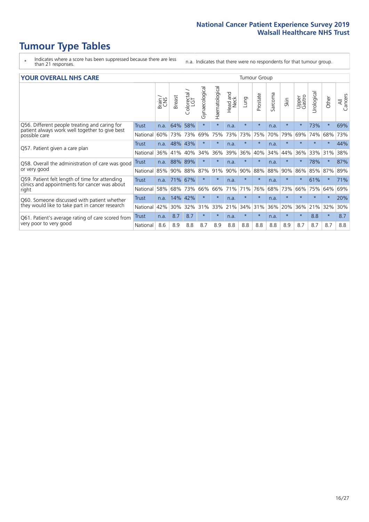- \* Indicates where a score has been suppressed because there are less than 21 responses.
- n.a. Indicates that there were no respondents for that tumour group.

#### **YOUR OVERALL NHS CARE** THE CONSTRUCTION OF THE THROUP GROUP TUMOUR GROUP

| UN V V LIVALL IVI 19 GAINL                                                                      |              |       |               |                            |                |                |                         |         |          |                      |         |                 |                |          |                |  |  |  |  |
|-------------------------------------------------------------------------------------------------|--------------|-------|---------------|----------------------------|----------------|----------------|-------------------------|---------|----------|----------------------|---------|-----------------|----------------|----------|----------------|--|--|--|--|
|                                                                                                 |              | Brain | <b>Breast</b> | olorectal<br>LGT<br>$\cup$ | Gynaecological | Haematological | aad and<br>Neck<br>Head | Lung    | Prostate | arcoma<br>$\sqrt{ }$ | Skin    | Upper<br>Gastro | लु<br>Urologia | Other    | All<br>Cancers |  |  |  |  |
| Q56. Different people treating and caring for                                                   | <b>Trust</b> | n.a.  | 64%           | 58%                        | $\star$        | $\ast$         | n.a.                    | $\star$ | $\star$  | n.a.                 | $\star$ | $\star$         | 73%            | $\ast$   | 69%            |  |  |  |  |
| patient always work well together to give best<br>possible care                                 | National     | 60%   | 73%           | 73%                        | 69%            | 75%            | 73%                     | 73%     | 75%      | 70%                  | 79%     | 69%             | 74%            | 68%      | 73%            |  |  |  |  |
| Q57. Patient given a care plan                                                                  | <b>Trust</b> | n.a.  | 48%           | 43%                        |                | $\star$        | n.a.                    | $\star$ | $\star$  | n.a.                 | $\star$ |                 |                | $\star$  | 44%            |  |  |  |  |
|                                                                                                 | National     | 36%   | 41%           | 40%                        | 34%            | 36%            | 39%                     | 36%     | 40%      | 34%                  | 44%     | 36%             | 33%            | 31%      | 38%            |  |  |  |  |
| Q58. Overall the administration of care was good                                                | <b>Trust</b> | n.a.  | 88%           | 89%                        |                | $\star$        | n.a.                    | $\star$ | $\star$  | n.a.                 | $\star$ |                 | 78%            | $\star$  | 87%            |  |  |  |  |
| or very good                                                                                    | National     | 85%   | 90%           | 88%                        | 87%            | 91%            | 90%                     | 90%     | 88%      | 88%                  | 90%     | 86%             | 85%            | 87%      | 89%            |  |  |  |  |
| Q59. Patient felt length of time for attending<br>clinics and appointments for cancer was about | Trust        | n.a.  |               | 71% 67%                    | $\star$        | $\ast$         | n.a.                    | $\star$ | $\star$  | n.a.                 | $\star$ | $\star$         | 61%            | $^\star$ | 71%            |  |  |  |  |
| right                                                                                           | National     | 58%   | 68%           | 73%                        | 66%            | 66%            | 71%                     | 71%     | 76%      | 68%                  | 73%     | 66%             | 75%            | 64%      | 69%            |  |  |  |  |
| Q60. Someone discussed with patient whether                                                     | <b>Trust</b> | n.a.  | 14%           | 42%                        |                | $\star$        | n.a.                    | $\star$ | $\star$  | n.a.                 | $\star$ |                 |                | $\star$  | 20%            |  |  |  |  |
| they would like to take part in cancer research                                                 | National     | 42%   | 30%           | 32%                        | 31%            | 33%            | 21%                     | 34%     | 31%      | 36%                  | 20%     | 36%             | 21%            | 32%      | 30%            |  |  |  |  |
| Q61. Patient's average rating of care scored from<br>very poor to very good                     | Trust        | n.a.  | 8.7           | 8.7                        | $\star$        | $\star$        | n.a.                    | $\star$ | $\star$  | n.a.                 | $\star$ | $\star$         | 8.8            | $\ast$   | 8.7            |  |  |  |  |
|                                                                                                 | National     | 8.6   | 8.9           | 8.8                        | 8.7            | 8.9            | 8.8                     | 8.8     | 8.8      | 8.8                  | 8.9     | 8.7             | 8.7            | 8.7      | 8.8            |  |  |  |  |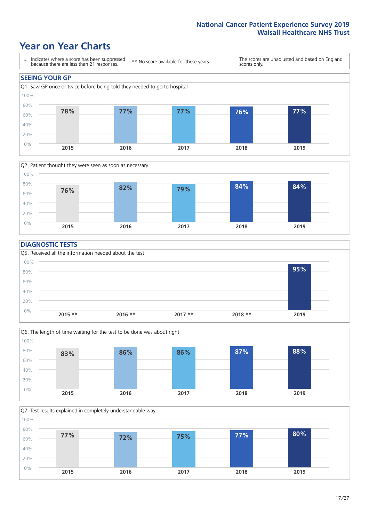## **Year on Year Charts**





#### **DIAGNOSTIC TESTS**





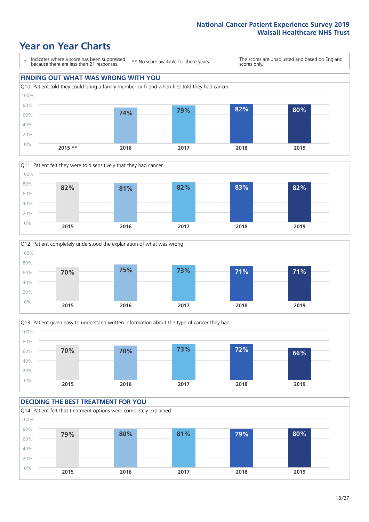







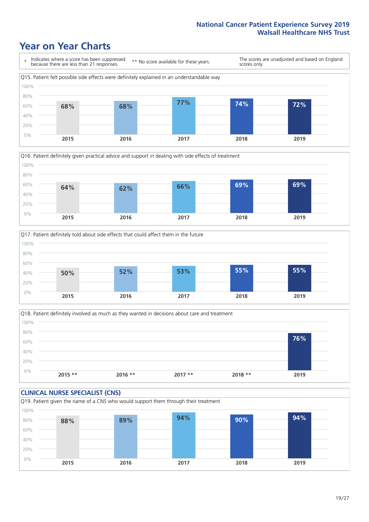





Q18. Patient definitely involved as much as they wanted in decisions about care and treatment  $0%$ 20% 40% 60% 80% 100% **2015 \*\* 2016 \*\* 2017 \*\* 2018 \*\* 2019 76%**

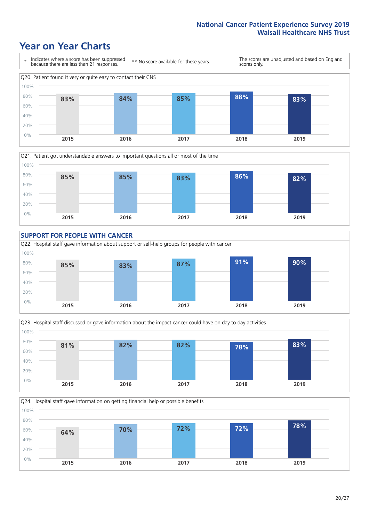







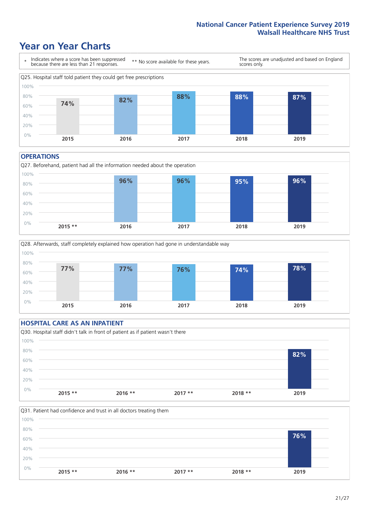## **Year on Year Charts**



#### **OPERATIONS**





#### **HOSPITAL CARE AS AN INPATIENT** Q30. Hospital staff didn't talk in front of patient as if patient wasn't there 0% 20% 40% 60% 80% 100% **2015 \*\* 2016 \*\* 2017 \*\* 2018 \*\* 2019 82%**

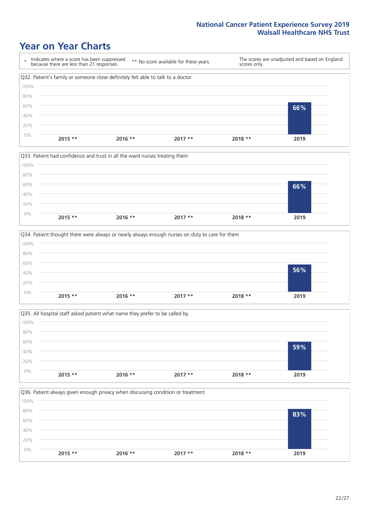







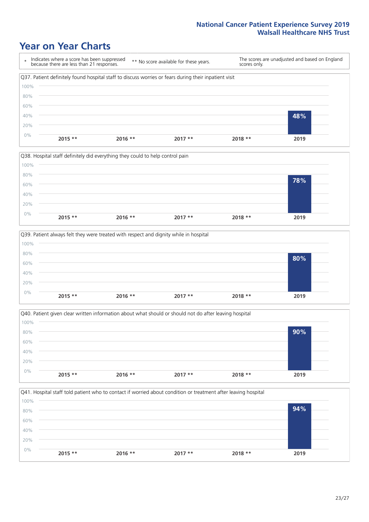







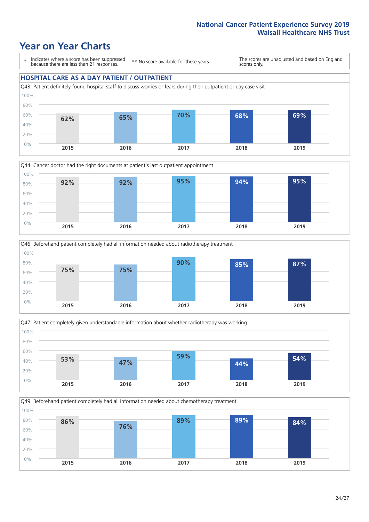## **Year on Year Charts**

\* Indicates where a score has been suppressed because there are less than 21 responses.

\*\* No score available for these years.

The scores are unadjusted and based on England scores only.

#### **HOSPITAL CARE AS A DAY PATIENT / OUTPATIENT**









Q49. Beforehand patient completely had all information needed about chemotherapy treatment

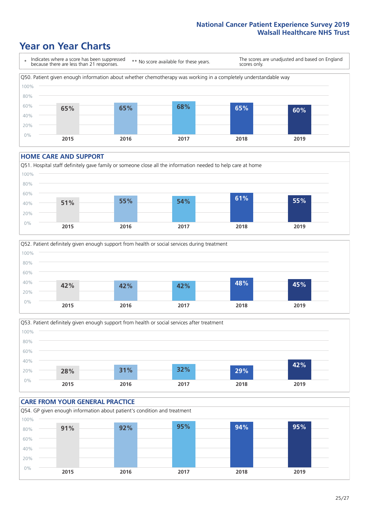## **Year on Year Charts**



#### **HOME CARE AND SUPPORT**







#### **CARE FROM YOUR GENERAL PRACTICE** Q54. GP given enough information about patient's condition and treatment 0% 20% 40% 60% 80% 100% **2015 2016 2017 2018 2019 91% 92% 95% 94% 95%**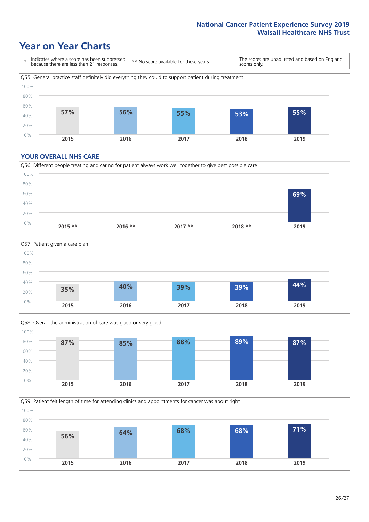### **Year on Year Charts**

\* Indicates where a score has been suppressed because there are less than 21 responses. \*\* No score available for these years. The scores are unadjusted and based on England scores only. Q55. General practice staff definitely did everything they could to support patient during treatment 0% 20% 40% 60% 80% 100% **2015 2016 2017 2018 2019 57% 56% 55% 53% 55%**

#### **YOUR OVERALL NHS CARE**







Q59. Patient felt length of time for attending clinics and appointments for cancer was about right